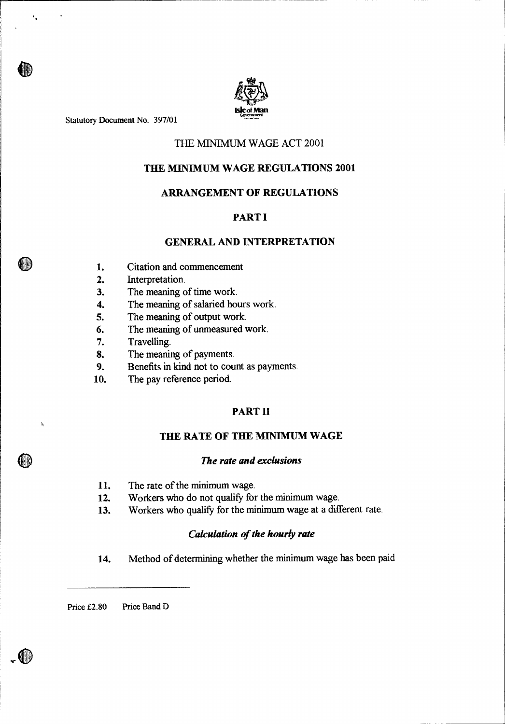

Statutory Document No. 397/01

 $\ddot{\phantom{a}}$ 

ń,

# THE MINIMUM WAGE ACT 2001

# **THE MINIMUM WAGE REGULATIONS 2001**

# **ARRANGEMENT OF REGULATIONS**

# **PART I**

# **GENERAL AND INTERPRETATION**

- 1. Citation and commencement
- 2. Interpretation.
- 3. The meaning of time work.
- 4. The meaning of salaried hours work.
- 5. The meaning of output work.
- 6. The meaning of unmeasured work.
- 7. Travelling.
- 8. The meaning of payments.
- 9. Benefits in kind not to count as payments.
- 10. The pay reference period.

# **PART II**

# **THE RATE OF THE MINIMUM WAGE**

# *The rate and exclusions*

- 11. The rate of the minimum wage.
- 12. Workers who do not qualify for the minimum wage.
- 13. Workers who qualify for the minimum wage at a different rate.

# *Calculation of the hourly rate*

14. Method of determining whether the minimum wage has been paid

Price £2.80 Price Band D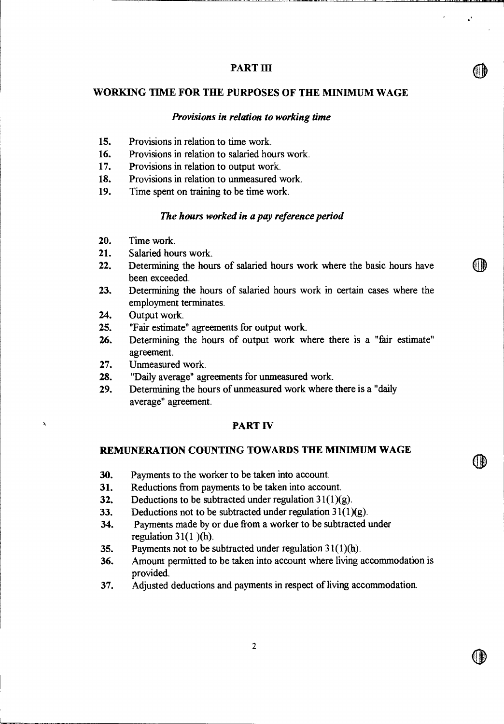# **PART HI**

#### **WORKING TIME FOR THE PURPOSES OF THE MINIMUM WAGE**

# *Provisions in relation to working time*

- 15. Provisions in relation to time work.
- 16. Provisions in relation to salaried hours work.
- 17. Provisions in relation to output work.
- 18. Provisions in relation to unmeasured work.
- 19. Time spent on training to be time work.

## *The hours worked in a pay reference period*

- 20. Time work.
- 21. Salaried hours work.
- 22. Determining the hours of salaried hours work where the basic hours have been exceeded.
- 23. Determining the hours of salaried hours work in certain cases where the employment terminates.
- 24. Output work.

À

- 25. "Fair estimate" agreements for output work.
- 26. Determining the hours of output work where there is a "fair estimate" agreement.
- 27. Unmeasured work.
- 28. "Daily average" agreements for unmeasured work.
- 29. Determining the hours of unmeasured work where there is a "daily average" agreement.

# **PART IV**

#### **REMUNERATION COUNTING TOWARDS THE MINIMUM WAGE**

- 30. Payments to the worker to be taken into account.
- 31. Reductions from payments to be taken into account.
- 32. Deductions to be subtracted under regulation  $31(1)(g)$ .
- 33. Deductions not to be subtracted under regulation  $31(1)(g)$ .
- 34. Payments made by or due from a worker to be subtracted under regulation  $31(1)$ (h).
- 35. Payments not to be subtracted under regulation  $31(1)(h)$ .
- 36. Amount permitted to be taken into account where living accommodation is provided.
- 37. Adjusted deductions and payments in respect of living accommodation.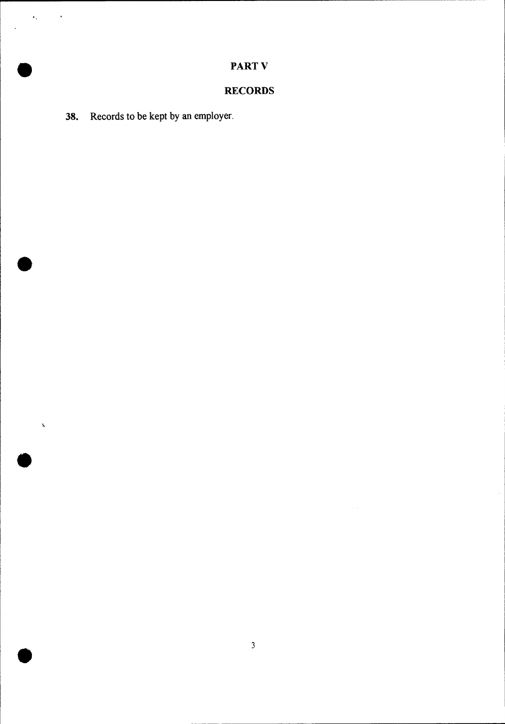# • **PART V**

# **RECORDS**

**38.** Records to be kept by an employer.

•

 $\epsilon_{\rm v}$ 

 $\overline{\phantom{a}}$ 

 $\langle \cdot \rangle$ 

•

 $\mathbf{\hat{x}}$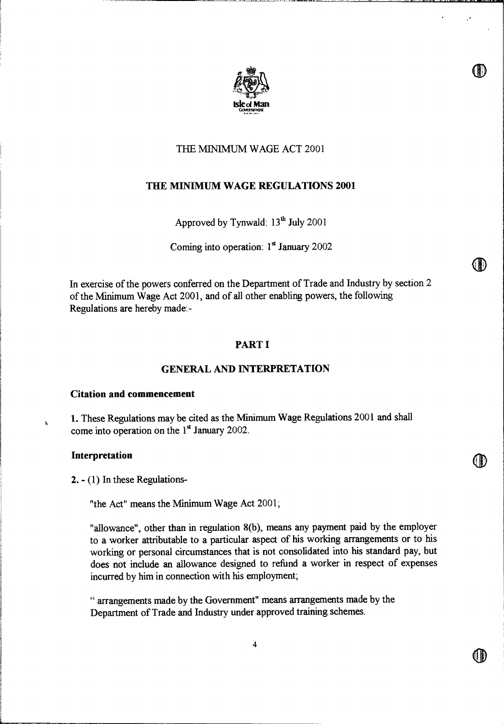

# THE MINIMUM WAGE ACT 2001

# **THE MINIMUM WAGE REGULATIONS 2001**

Approved by Tynwald:  $13<sup>th</sup>$  July 2001

Coming into operation:  $1<sup>st</sup>$  January 2002

In exercise of the powers conferred on the Department of Trade and Industry by section 2 of the Minimum Wage Act 2001, and of all other enabling powers, the following Regulations are hereby made:-

# **PART I**

# **GENERAL AND INTERPRETATION**

#### **Citation and commencement**

1. These Regulations may be cited as the Minimum Wage Regulations 2001 and shall come into operation on the  $1<sup>st</sup>$  January 2002.

#### **Interpretation**

 $\mathbf{\hat{a}}$ 

**2. -** (1) In these Regulations-

"the Act" means the Minimum Wage Act 2001;

"allowance", other than in regulation 8(b), means any payment paid by the employer to a worker attributable to a particular aspect of his working arrangements or to his working or personal circumstances that is not consolidated into his standard pay, but does not include an allowance designed to refund a worker in respect of expenses incurred by him in connection with his employment;

" arrangements made by the Government" means arrangements made by the Department of Trade and Industry under approved training schemes.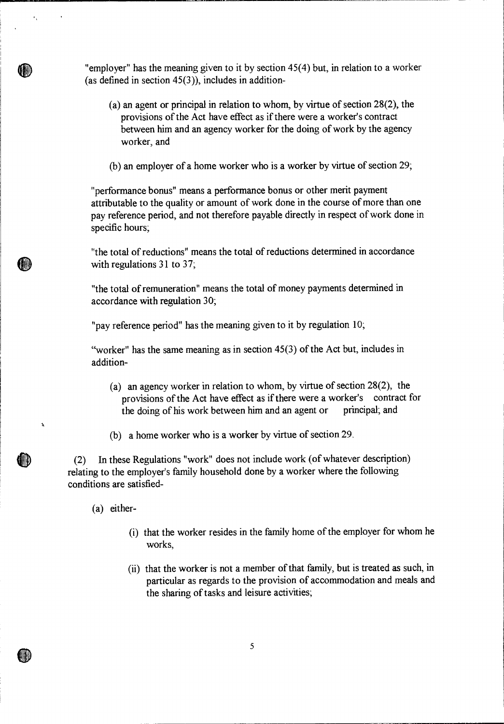"employer" has the meaning given to it by section 45(4) but, in relation to a worker (as defined in section  $45(3)$ ), includes in addition-

(a) an agent or principal in relation to whom, by virtue of section 28(2), the provisions of the Act have effect as if there were a worker's contract between him and an agency worker for the doing of work by the agency worker, and

(b) an employer of a home worker who is a worker by virtue of section 29;

"performance bonus" means a performance bonus or other merit payment attributable to the quality or amount of work done in the course of more than one pay reference period, and not therefore payable directly in respect of work done in specific hours;

"the total of reductions" means the total of reductions determined in accordance with regulations 31 to 37;

"the total of remuneration" means the total of money payments determined in accordance with regulation 30;

"pay reference period" has the meaning given to it by regulation 10;

"worker" has the same meaning as in section 45(3) of the Act but, includes in addition-

- (a) an agency worker in relation to whom, by virtue of section 28(2), the provisions of the Act have effect as if there were a worker's contract for the doing of his work between him and an agent or principal; and
- (b) a home worker who is a worker by virtue of section 29.

(2) In these Regulations "work" does not include work (of whatever description) relating to the employer's family household done by a worker where the following conditions are satisfied-

(a) either-

 $\mathbf{A}$ 

ID

 $\epsilon_{\rm x}$ 

- (i) that the worker resides in the family home of the employer for whom he works,
- (ii) that the worker is not a member of that family, but is treated as such, in particular as regards to the provision of accommodation and meals and the sharing of tasks and leisure activities;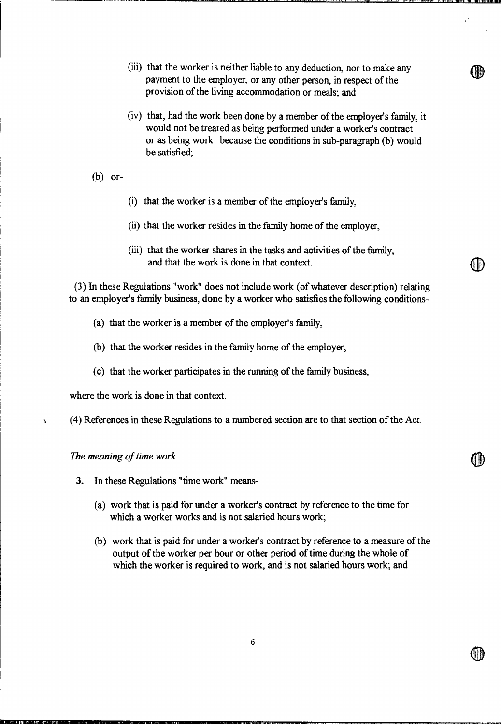- (iii) that the worker is neither liable to any deduction, nor to make any payment to the employer, or any other person, in respect of the provision of the living accommodation or meals; and
- (iv) that, had the work been done by a member of the employer's family, it would not be treated as being performed under a worker's contract or as being work because the conditions in sub-paragraph (b) would be satisfied;
- (b) or-
- (i) that the worker is a member of the employer's family,
- (ii) that the worker resides in the family home of the employer,
- (iii) that the worker shares in the tasks and activities of the family, and that the work is done in that context.

 $\mathbb U$ 

(3) In these Regulations "work" does not include work (of whatever description) relating to an employer's family business, done by a worker who satisfies the following conditions-

- (a) that the worker is a member of the employer's family,
- (b) that the worker resides in the family home of the employer,
- (c) that the worker participates in the running of the family business,

where the work is done in that context.

(4) References in these Regulations to a numbered section are to that section of the Act.

*The meaning of time work* 

।<br>भारतका गा

À

- **3.** In these Regulations "time work" means-
	- (a) work that is paid for under a worker's contract by reference to the time for which a worker works and is not salaried hours work;
	- (b) work that is paid for under a worker's contract by reference to a measure of the output of the worker per hour or other period of time during the whole of which the worker is required to work, and is not salaried hours work; and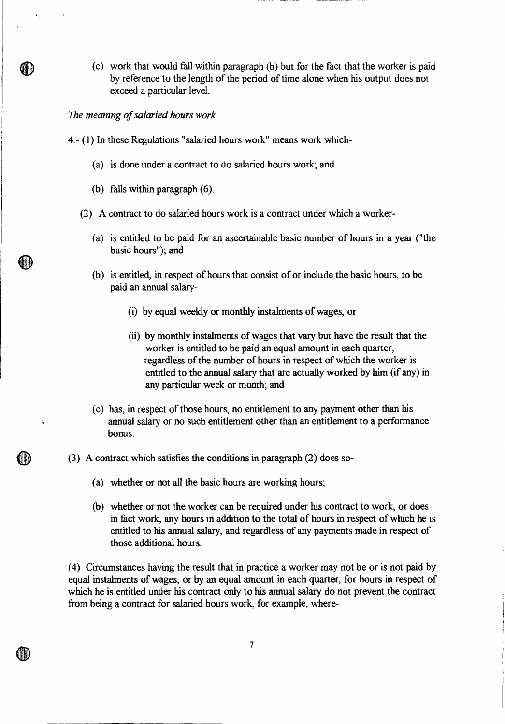(c) work that would fall within paragraph (b) but for the fact that the worker is paid by reference to the length of the period of time alone when his output does not exceed a particular level.

# *The meaning of salaried hours work*

 $\epsilon_{\rm g}$ 

(III)

(KD

À

ID)

- **4.** (1) In these Regulations "salaried hours work" means work which-
	- (a) is done under a contract to do salaried hours work; and
	- (b) falls within paragraph (6).
	- (2) A contract to do salaried hours work is a contract under which a worker-
		- (a) is entitled to be paid for an ascertainable basic number of hours in a year ("the basic hours"); and
		- (b) is entitled, in respect of hours that consist of or include the basic hours, to be paid an annual salary-
			- (i) by equal weekly or monthly instalments of wages, or
			- (ii) by monthly instalments of wages that vary but have the result that the worker is entitled to be paid an equal amount in each quarter, regardless of the number of hours in respect of which the worker is entitled to the annual salary that are actually worked by him (if any) in any particular week or month; and
		- (c) has, in respect of those hours, no entitlement to any payment other than his annual salary or no such entitlement other than an entitlement to a performance bonus.
- (3) A contract which satisfies the conditions in paragraph (2) does so-
	- (a) whether or not all the basic hours are working hours;

**W** 

(b) whether or not the worker can be required under his contract to work, or does in fact work, any hours in addition to the total of hours in respect of which he is entitled to his annual salary, and regardless of any payments made in respect of those additional hours.

(4) Circumstances having the result that in practice a worker may not be or is not paid by equal instalments of wages, or by an equal amount in each quarter, for hours in respect of which he is entitled under his contract only to his annual salary do not prevent the contract from being a contract for salaried hours work, for example, where-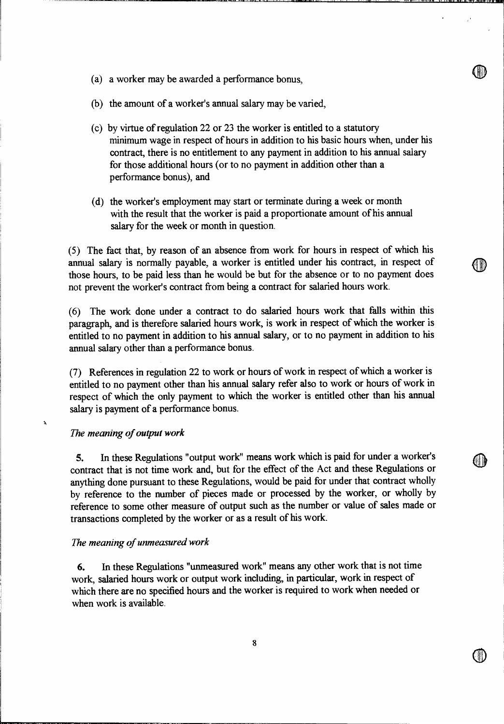- 0 (a) a worker may be awarded a performance bonus,
- (b) the amount of a worker's annual salary may be varied,
- (c) by virtue of regulation 22 or 23 the worker is entitled to a statutory minimum wage in respect of hours in addition to his basic hours when, under his contract, there is no entitlement to any payment in addition to his annual salary for those additional hours (or to no payment in addition other than a performance bonus), and
- (d) the worker's employment may start or terminate during a week or month with the result that the worker is paid a proportionate amount of his annual salary for the week or month in question.

(5) The fact that, by reason of an absence from work for hours in respect of which his annual salary is normally payable, a worker is entitled under his contract, in respect of those hours, to be paid less than he would be but for the absence or to no payment does not prevent the worker's contract from being a contract for salaried hours work.

(6) The work done under a contract to do salaried hours work that falls within this paragraph, and is therefore salaried hours work, is work in respect of which the worker is entitled to no payment in addition to his annual salary, or to no payment in addition to his annual salary other than a performance bonus.

(7) References in regulation 22 to work or hours of work in respect of which a worker is entitled to no payment other than his annual salary refer also to work or hours of work in respect of which the only payment to which the worker is entitled other than his annual salary is payment of a performance bonus.

#### *The meaning of output work*

5. In these Regulations "output work" means work which is paid for under a worker's contract that is not time work and, but for the effect of the Act and these Regulations or anything done pursuant to these Regulations, would be paid for under that contract wholly by reference to the number of pieces made or processed by the worker, or wholly by reference to some other measure of output such as the number or value of sales made or transactions completed by the worker or as a result of his work.

#### *The meaning of unmeasured work*

**SMY7LAS** tl"Z.1 **•**■■ **...MY. YIN.M.ff04.!•**■**•**■■■■■**••**■**••••** 

6. In these Regulations "unmeasured work" means any other work that is not time work, salaried hours work or output work including, in particular, work in respect of which there are no specified hours and the worker is required to work when needed or when work is available.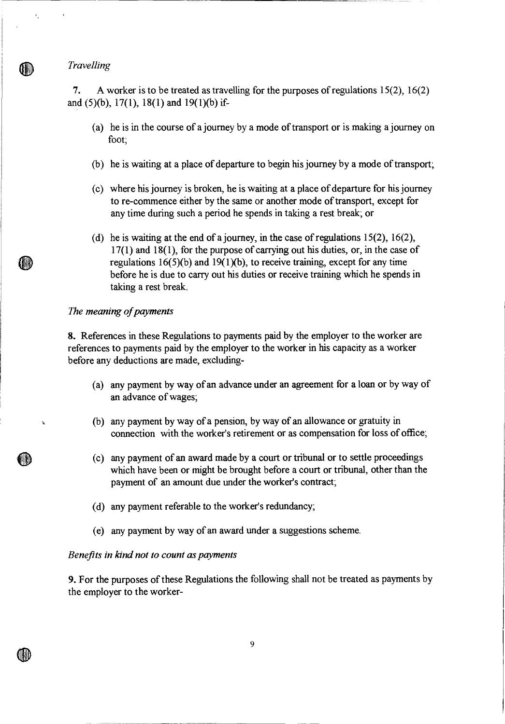*Travelling* 

 $\mathcal{F}_{\mathbf{X}}$ 

*7.* A worker is to be treated as travelling for the purposes of regulations 15(2), 16(2) and (5)(b), 17(1), 18(1) and 19(1)(b) if-

- (a) he is in the course of a journey by a mode of transport or is making a journey on foot;
- (b) he is waiting at a place of departure to begin his journey by a mode of transport;
- (c) where his journey is broken, he is waiting at a place of departure for his journey to re-commence either by the same or another mode of transport, except for any time during such a period he spends in taking a rest break; or
- (d) he is waiting at the end of a journey, in the case of regulations  $15(2)$ ,  $16(2)$ , 17(1) and 18(1), for the purpose of carrying out his duties, or, in the case of regulations  $16(5)(b)$  and  $19(1)(b)$ , to receive training, except for any time before he is due to carry out his duties or receive training which he spends in taking a rest break.

# *The meaning of payments*

**8.** References in these Regulations to payments paid by the employer to the worker are references to payments paid by the employer to the worker in his capacity as a worker before any deductions are made, excluding-

- (a) any payment by way of an advance under an agreement for a loan or by way of an advance of wages;
- (b) any payment by way of a pension, by way of an allowance or gratuity in connection with the worker's retirement or as compensation for loss of office;
- (c) any payment of an award made by a court or tribunal or to settle proceedings which have been or might be brought before a court or tribunal, other than the payment of an amount due under the worker's contract;
- (d) any payment referable to the worker's redundancy;
- (e) any payment by way of an award under a suggestions scheme.

# *Benefits in kind not to count as payments*

**9.** For the purposes of these Regulations the following shall not be treated as payments by the employer to the worker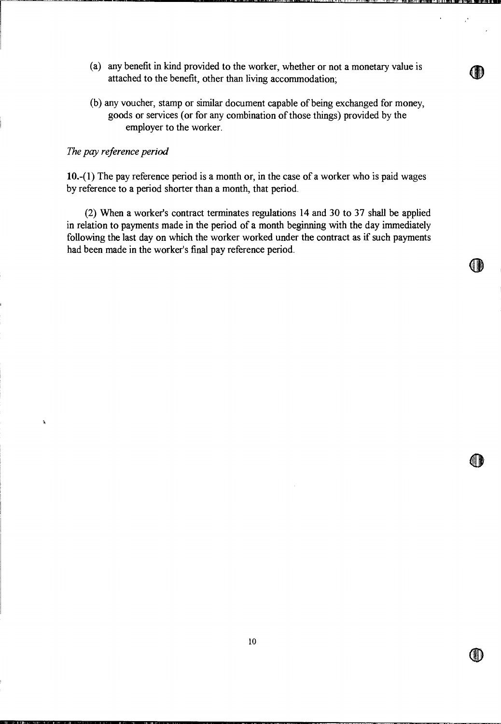(a) any benefit in kind provided to the worker, whether or not a monetary value is attached to the benefit, other than living accommodation;

I, lJ

fi

(b) any voucher, stamp or similar document capable of being exchanged for money, goods or services (or for any combination of those things) provided by the employer to the worker.

# *The pay reference period*

À

10.-(1) The pay reference period is a month or, in the case of a worker who is paid wages by reference to a period shorter than a month, that period.

(2) When a worker's contract terminates regulations 14 and 30 to 37 shall be applied in relation to payments made in the period of a month beginning with the day immediately following the last day on which the worker worked under the contract as if such payments had been made in the worker's final pay reference period.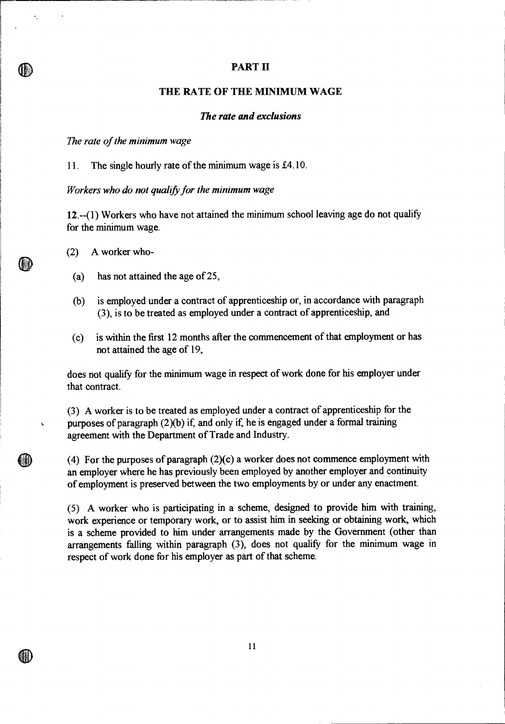# **PART II**

# **THE RATE OF TILE MINIMUM WAGE**

# *The rate and exclusions*

*The rate of the minimum wage* 

×,

11. The single hourly rate of the minimum wage is £4.10.

*Workers who do not qualify for the minimum wage* 

12.--(1) Workers who have not attained the minimum school leaving age do not qualify for the minimum wage.

(2) A worker who-

10)

M

- (a) has not attained the age of 25,
- (b) is employed under a contract of apprenticeship or, in accordance with paragraph (3), is to be treated as employed under a contract of apprenticeship, and
- (c) is within the first 12 months after the commencement of that employment or has not attained the age of 19,

does not qualify for the minimum wage in respect of work done for his employer under that contract.

(3) A worker is to be treated as employed under a contract of apprenticeship for the purposes of paragraph (2)(b) if, and only if, he is engaged under a formal training agreement with the Department of Trade and Industry.

(4) For the purposes of paragraph (2)(c) a worker does not commence employment with an employer where he has previously been employed by another employer and continuity of employment is preserved between the two employments by or under any enactment.

(5) A worker who is participating in a scheme, designed to provide him with training, work experience or temporary work, or to assist him in seeking or obtaining work, which is a scheme provided to him under arrangements made by the Government (other than arrangements falling within paragraph (3), does not qualify for the minimum wage in respect of work done for his employer as part of that scheme.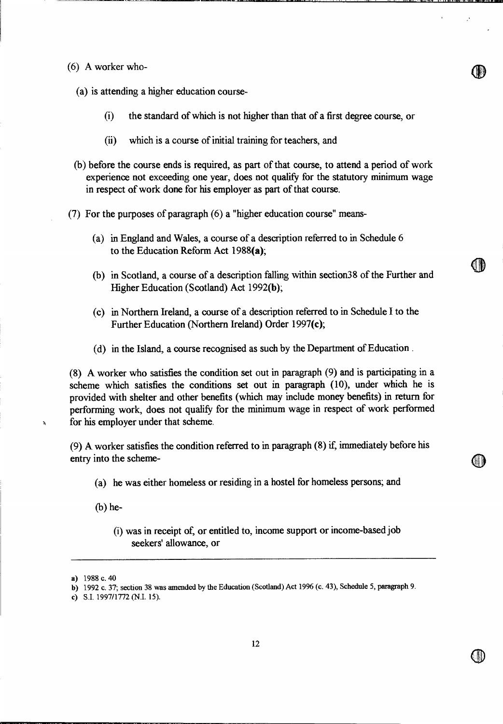(6) A worker who-

(a) is attending a higher education course-

- (i) the standard of which is not higher than that of a first degree course, or
- (ii) which is a course of initial training for teachers, and
- (b) before the course ends is required, as part of that course, to attend a period of work experience not exceeding one year, does not qualify for the statutory minimum wage in respect of work done for his employer as part of that course.
- (7) For the purposes of paragraph (6) a "higher education course" means-
	- (a) in England and Wales, a course of a description referred to in Schedule 6 to the Education Reform Act 1988(a);
	- (b) in Scotland, a course of a description falling within section38 of the Further and Higher Education (Scotland) Act 1992(b);

G D

- (c) in Northern Ireland, a course of a description referred to in Schedule I to the Further Education (Northern Ireland) Order 1997(c);
- (d) in the Island, a course recognised as such by the Department of Education .

(8) A worker who satisfies the condition set out in paragraph (9) and is participating in a scheme which satisfies the conditions set out in paragraph (10), under which he is provided with shelter and other benefits (which may include money benefits) in return for performing work, does not qualify for the minimum wage in respect of work performed for his employer under that scheme.

(9) A worker satisfies the condition referred to in paragraph (8) if immediately before his entry into the scheme-

- (a) he was either homeless or residing in a hostel for homeless persons; and
- (b) he-
	- (i) was in receipt of, or entitled to, income support or income-based job seekers' allowance, or

a) 1988 c. 40

b) 1992 c. 37; section 38 was amended by the Education (Scotland) Act 1996 (c. 43), Schedule 5, paragraph 9.

c) S.I. 1997/1772 (N.I. 15).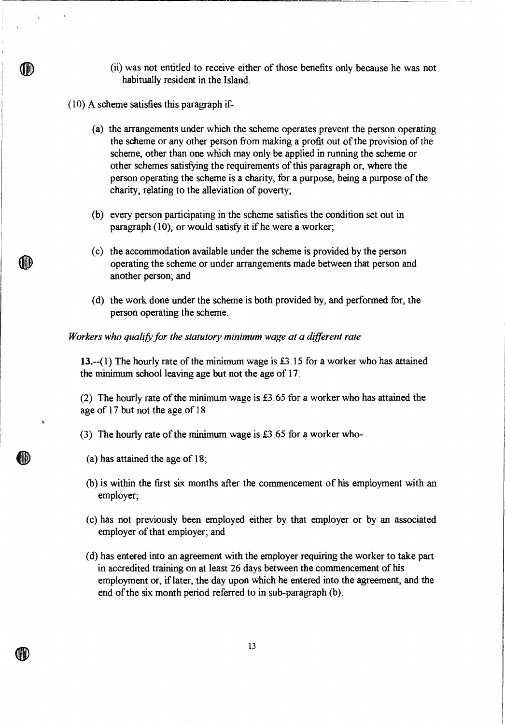- (ii) was not entitled to receive either of those benefits only because he was not habitually resident in the Island.
- (10) A scheme satisfies this paragraph if-

 $\ddot{\phantom{a}}$ 

OD

END.

 $\Delta$ 

- (a) the arrangements under which the scheme operates prevent the person operating the scheme or any other person from making a profit out of the provision of the scheme, other than one which may only be applied in running the scheme or other schemes satisfying the requirements of this paragraph or, where the person operating the scheme is a charity, for a purpose, being a purpose of the charity, relating to the alleviation of poverty;
- (b) every person participating in the scheme satisfies the condition set out in paragraph (10), or would satisfy it if he were a worker;
- (c) the accommodation available under the scheme is provided by the person operating the scheme or under arrangements made between that person and another person; and
- (d) the work done under the scheme is both provided by, and performed for, the person operating the scheme.

#### *Workers who qualify for the statutory minimum wage at a different rate*

13.--(1) The hourly rate of the minimum wage is £3.15 for a worker who has attained the minimum school leaving age but not the age of 17.

(2) The hourly rate of the minimum wage is £3.65 for a worker who has attained the age of 17 but not the age of 18

- (3) The hourly rate of the minimum wage is £3.65 for a worker who-
	- (a) has attained the age of 18;

اللغية

1

- (b) is within the first six months after the commencement of his employment with an employer;
- (c) has not previously been employed either by that employer or by an associated employer of that employer; and
- (d) has entered into an agreement with the employer requiring the worker to take part in accredited training on at least 26 days between the commencement of his employment or, if later, the day upon which he entered into the agreement, and the end of the six month period referred to in sub-paragraph (b).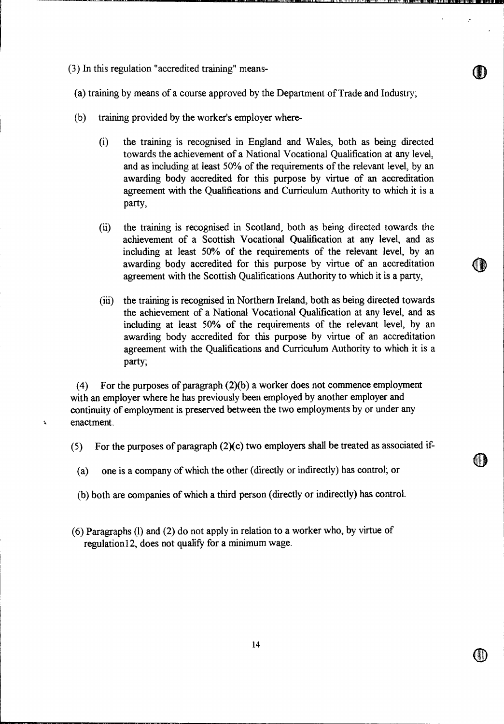(3) In this regulation "accredited training" means-

À

(a) training by means of a course approved by the Department of Trade and Industry;

- (b) training provided by the worker's employer where-
	- (i) the training is recognised in England and Wales, both as being directed towards the achievement of a National Vocational Qualification at any level, and as including at least 50% of the requirements of the relevant level, by an awarding body accredited for this purpose by virtue of an accreditation agreement with the Qualifications and Curriculum Authority to which it is a party,
	- (ii) the training is recognised in Scotland, both as being directed towards the achievement of a Scottish Vocational Qualification at any level, and as including at least 50% of the requirements of the relevant level, by an awarding body accredited for this purpose by virtue of an accreditation agreement with the Scottish Qualifications Authority to which it is a party,
	- (iii) the training is recognised in Northern Ireland, both as being directed towards the achievement of a National Vocational Qualification at any level, and as including at least 50% of the requirements of the relevant level, by an awarding body accredited for this purpose by virtue of an accreditation agreement with the Qualifications and Curriculum Authority to which it is a party;

(4) For the purposes of paragraph (2)(b) a worker does not commence employment with an employer where he has previously been employed by another employer and continuity of employment is preserved between the two employments by or under any enactment.

- (5) For the purposes of paragraph (2)(c) two employers shall be treated as associated if-
	- (a) one is a company of which the other (directly or indirectly) has control; or
	- (b) both are companies of which a third person (directly or indirectly) has control.
- (6) Paragraphs (1) and (2) do not apply in relation to a worker who, by virtue of regulation12, does not qualify for a minimum wage.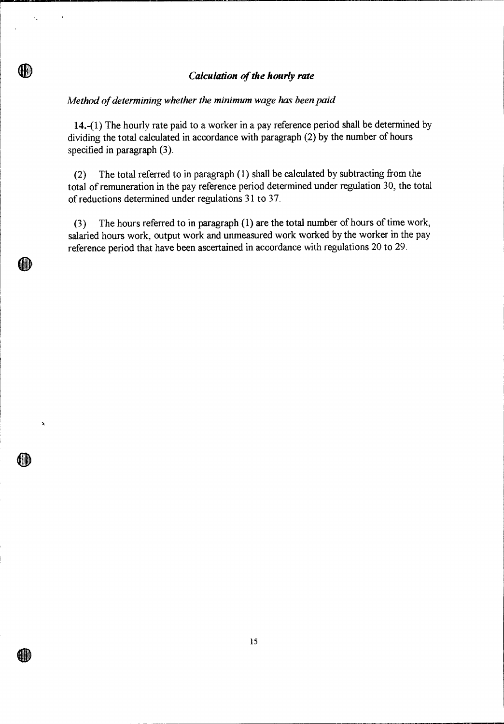# *Calculation of the hourly rate*

# *Method of determining whether the minimum wage has been paid*

Ÿ.

(IN)

(HI)

 $\mathbf{A}$ 

dib

an b

14.-(1) The hourly rate paid to a worker in a pay reference period shall be determined by dividing the total calculated in accordance with paragraph (2) by the number of hours specified in paragraph (3).

(2) The total referred to in paragraph (1) shall be calculated by subtracting from the total of remuneration in the pay reference period determined under regulation 30, the total of reductions determined under regulations 31 to 37.

(3) The hours referred to in paragraph (1) are the total number of hours of time work, salaried hours work, output work and unmeasured work worked by the worker in the pay reference period that have been ascertained in accordance with regulations 20 to 29.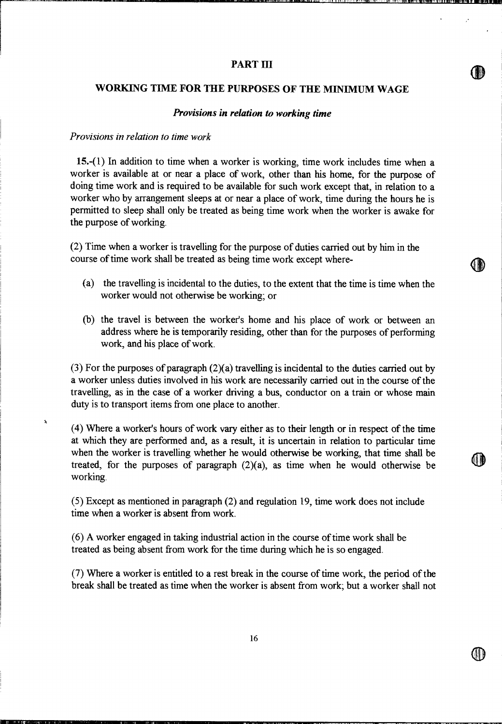# **PART III**

# **WORKING TIME FOR THE PURPOSES OF THE MINIMUM WAGE**

#### *Provisions in relation to working time*

#### *Provisions in relation to time work*

À

**15.-(1)** In addition to time when a worker is working, time work includes time when a worker is available at or near a place of work, other than his home, for the purpose of doing time work and is required to be available for such work except that, in relation to a worker who by arrangement sleeps at or near a place of work, time during the hours he is permitted to sleep shall only be treated as being time work when the worker is awake for the purpose of working.

(2) Time when a worker is travelling for the purpose of duties carried out by him in the course of time work shall be treated as being time work except where-

- (a) the travelling is incidental to the duties, to the extent that the time is time when the worker would not otherwise be working; or
- (b) the travel is between the worker's home and his place of work or between an address where he is temporarily residing, other than for the purposes of performing work, and his place of work.

(3) For the purposes of paragraph (2)(a) travelling is incidental to the duties carried out by a worker unless duties involved in his work are necessarily carried out in the course of the travelling, as in the case of a worker driving a bus, conductor on a train or whose main duty is to transport items from one place to another.

(4) Where a worker's hours of work vary either as to their length or in respect of the time at which they are performed and, as a result, it is uncertain in relation to particular time when the worker is travelling whether he would otherwise be working, that time shall be treated, for the purposes of paragraph  $(2)(a)$ , as time when he would otherwise be working.

(5) Except as mentioned in paragraph (2) and regulation 19, time work does not include time when a worker is absent from work.

(6) A worker engaged in taking industrial action in the course of time work shall be treated as being absent from work for the time during which he is so engaged.

(7) Where a worker is entitled to a rest break in the course of time work, the period of the break shall be treated as time when the worker is absent from work; but a worker shall not **411** 

**44**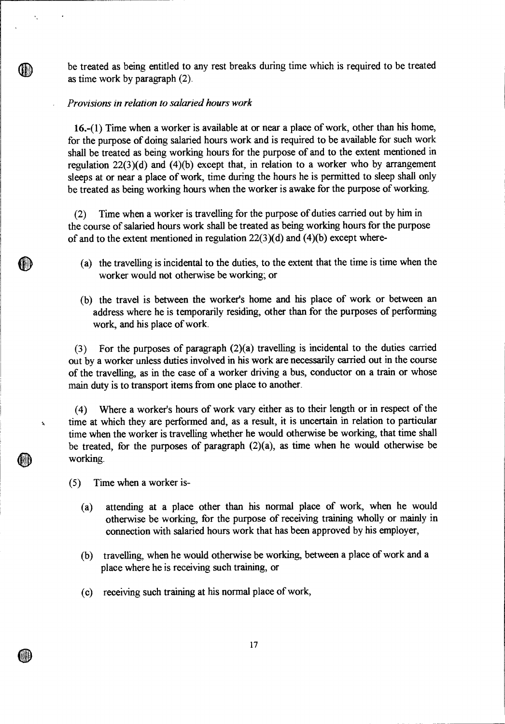be treated as being entitled to any rest breaks during time which is required to be treated as time work by paragraph (2).

# *Provisions in relation to salaried hours work*

16.-(1) Time when a worker is available at or near a place of work, other than his home, for the purpose of doing salaried hours work and is required to be available for such work shall be treated as being working hours for the purpose of and to the extent mentioned in regulation  $22(3)(d)$  and  $(4)(b)$  except that, in relation to a worker who by arrangement sleeps at or near a place of work, time during the hours he is permitted to sleep shall only be treated as being working hours when the worker is awake for the purpose of working.

(2) Time when a worker is travelling for the purpose of duties carried out by him in the course of salaried hours work shall be treated as being working hours for the purpose of and to the extent mentioned in regulation  $22(3)(d)$  and  $(4)(b)$  except where-

- (a) the travelling is incidental to the duties, to the extent that the time is time when the worker would not otherwise be working; or
- (b) the travel is between the worker's home and his place of work or between an address where he is temporarily residing, other than for the purposes of performing work, and his place of work.

(3) For the purposes of paragraph (2)(a) travelling is incidental to the duties carried out by a worker unless duties involved in his work are necessarily carried out in the course of the travelling, as in the case of a worker driving a bus, conductor on a train or whose main duty is to transport items from one place to another.

(4) Where a worker's hours of work vary either as to their length or in respect of the time at which they are performed and, as a result, it is uncertain in relation to particular time when the worker is travelling whether he would otherwise be working, that time shall be treated, for the purposes of paragraph  $(2)(a)$ , as time when he would otherwise be working.

(5) Time when a worker is-

Ili

Š.

Q D

 $\ddot{\phantom{a}}$ 

- (a) attending at a place other than his normal place of work, when he would otherwise be working, for the purpose of receiving training wholly or mainly in connection with salaried hours work that has been approved by his employer,
- (b) travelling, when he would otherwise be working, between a place of work and a place where he is receiving such training, or
- (c) receiving such training at his normal place of work,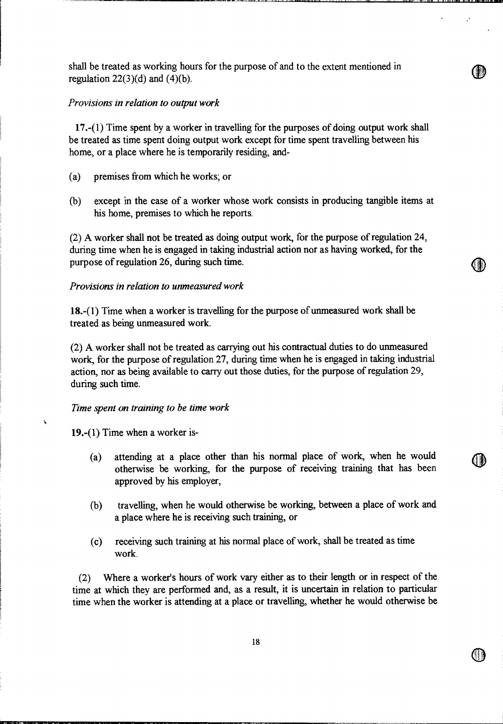shall be treated as working hours for the purpose of and to the extent mentioned in regulation  $22(3)(d)$  and  $(4)(b)$ .

# *Provisions in relation to output work*

17.-(1) Time spent by a worker in travelling for the purposes of doing output work shall be treated as time spent doing output work except for time spent travelling between his home, or a place where he is temporarily residing, and-

- (a) premises from which he works; or
- (b) except in the case of a worker whose work consists in producing tangible items at his home, premises to which he reports.

(2) A worker shall not be treated as doing output work, for the purpose of regulation 24, during time when he is engaged in taking industrial action nor as having worked, for the purpose of regulation 26, during such time.

# *Provisions in relation to unmeasured work*

18.-(1) Time when a worker is travelling for the purpose of unmeasured work shall be treated as being unmeasured work.

(2) A worker shall not be treated as carrying out his contractual duties to do unmeasured work, for the purpose of regulation 27, during time when he is engaged in taking industrial action, nor as being available to carry out those duties, for the purpose of regulation 29, during such time.

# *Time spent on training to be time work*

19.-(1) Time when a worker is-

À

- (a) attending at a place other than his normal place of work, when he would otherwise be working, for the purpose of receiving training that has been approved by his employer,
- (b) travelling, when he would otherwise be working, between a place of work and a place where he is receiving such training, or
- (c) receiving such training at his normal place of work, shall be treated as time work.

(2) Where a worker's hours of work vary either as to their length or in respect of the time at which they are performed and, as a result, it is uncertain in relation to particular time when the worker is attending at a place or travelling, whether he would otherwise be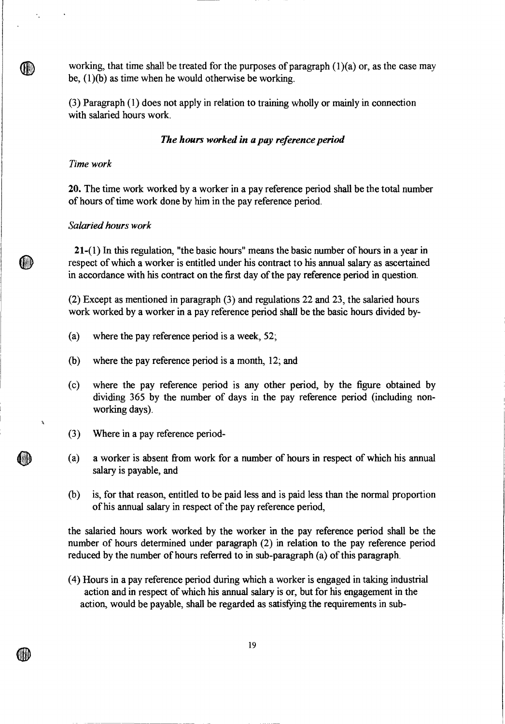working, that time shall be treated for the purposes of paragraph  $(1)(a)$  or, as the case may be, (1)(b) as time when he would otherwise be working.

(3) Paragraph (1) does not apply in relation to training wholly or mainly in connection with salaried hours work.

#### *The hours worked in a pay reference period*

# *Time work*

×.

(III)

(HI)

20. The time work worked by a worker in a pay reference period shall be the total number of hours of time work done by him in the pay reference period.

# *Salaried hours work*

21-(1) In this regulation, "the basic hours" means the basic number of hours in a year in respect of which a worker is entitled under his contract to his annual salary as ascertained in accordance with his contract on the first day of the pay reference period in question.

(2) Except as mentioned in paragraph (3) and regulations 22 and 23, the salaried hours work worked by a worker in a pay reference period shall be the basic hours divided by-

- (a) where the pay reference period is a week, 52;
- (b) where the pay reference period is a month, 12; and
- (c) where the pay reference period is any other period, by the figure obtained by dividing 365 by the number of days in the pay reference period (including nonworking days).
- (3) Where in a pay reference period-
- (a) a worker is absent from work for a number of hours in respect of which his annual salary is payable, and
- (b) is, for that reason, entitled to be paid less and is paid less than the normal proportion of his annual salary in respect of the pay reference period,

the salaried hours work worked by the worker in the pay reference period shall be the number of hours determined under paragraph (2) in relation to the pay reference period reduced by the number of hours referred to in sub-paragraph (a) of this paragraph.

(4) Hours in a pay reference period during which a worker is engaged in taking industrial action and in respect of which his annual salary is or, but for his engagement in the action, would be payable, shall be regarded as satisfying the requirements in sub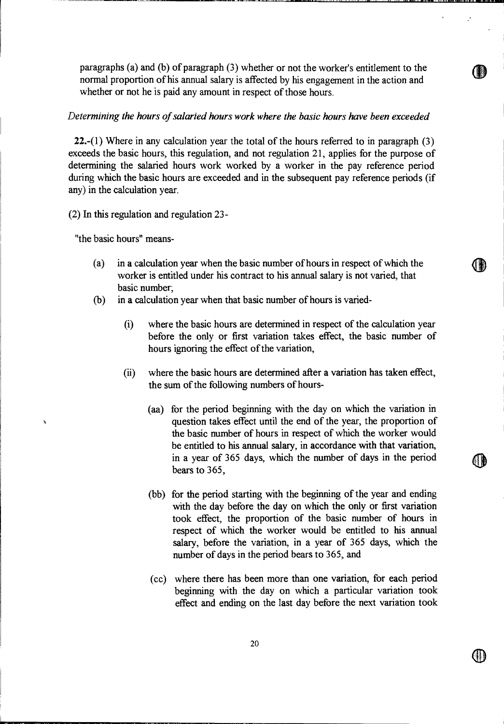paragraphs (a) and (b) of paragraph (3) whether or not the worker's entitlement to the normal proportion of his annual salary is affected by his engagement in the action and whether or not he is paid any amount in respect of those hours.

# *Determining the hours of salaried hours work where the basic hours have been exceeded*

**22.**-(1) Where in any calculation year the total of the hours referred to in paragraph  $(3)$ exceeds the basic hours, this regulation, and not regulation 21, applies for the purpose of determining the salaried hours work worked by a worker in the pay reference period during which the basic hours are exceeded and in the subsequent pay reference periods (if any) in the calculation year.

(2) In this regulation and regulation 23-

"the basic hours" means-

- (a) in a calculation year when the basic number of hours in respect of which the worker is entitled under his contract to his annual salary is not varied, that basic number;
- (b) in a calculation year when that basic number of hours is varied-
	- (i) where the basic hours are determined in respect of the calculation year before the only or first variation takes effect, the basic number of hours ignoring the effect of the variation,
	- (ii) where the basic hours are determined after a variation has taken effect, the sum of the following numbers of hours-
- (aa) for the period beginning with the day on which the variation in the question takes effect until the end of the year, the proportion of the basic number of hours in respect of which the worker would be entitled to his annual salary, in accordance with that variation, in a year of 365 days, which the number of days in the period bears to 365,
	- (bb) for the period starting with the beginning of the year and ending with the day before the day on which the only or first variation took effect, the proportion of the basic number of hours in respect of which the worker would be entitled to his annual salary, before the variation, in a year of 365 days, which the number of days in the period bears to 365, and
	- (cc) where there has been more than one variation, for each period beginning with the day on which a particular variation took effect and ending on the last day before the next variation took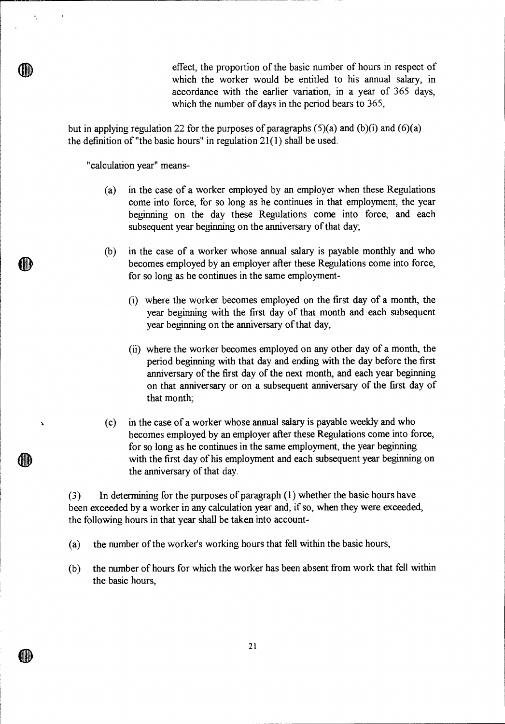effect, the proportion of the basic number of hours in respect of which the worker would be entitled to his annual salary, in accordance with the earlier variation, in a year of 365 days, which the number of days in the period bears to 365,

but in applying regulation 22 for the purposes of paragraphs  $(5)(a)$  and  $(b)(i)$  and  $(6)(a)$ the definition of "the basic hours" in regulation 21(1) shall be used.

"calculation year" means-

÷,

 $\mathbf{x}$ 

- (a) in the case of a worker employed by an employer when these Regulations come into force, for so long as he continues in that employment, the year beginning on the day these Regulations come into force, and each subsequent year beginning on the anniversary of that day;
- (b) in the case of a worker whose annual salary is payable monthly and who becomes employed by an employer after these Regulations come into force, for so long as he continues in the same employment-
	- (i) where the worker becomes employed on the first day of a month, the year beginning with the first day of that month and each subsequent year beginning on the anniversary of that day,
	- (ii) where the worker becomes employed on any other day of a month, the period beginning with that day and ending with the day before the first anniversary of the first day of the next month, and each year beginning on that anniversary or on a subsequent anniversary of the first day of that month;
- (c) in the case of a worker whose annual salary is payable weekly and who becomes employed by an employer after these Regulations come into force, for so long as he continues in the same employment, the year beginning with the first day of his employment and each subsequent year beginning on the anniversary of that day.

(3 ) In determining for the purposes of paragraph (1) whether the basic hours have been exceeded by a worker in any calculation year and, if so, when they were exceeded, the following hours in that year shall be taken into account-

- (a) the number of the worker's working hours that fell within the basic hours,
- (b) the number of hours for which the worker has been absent from work that fell within the basic hours,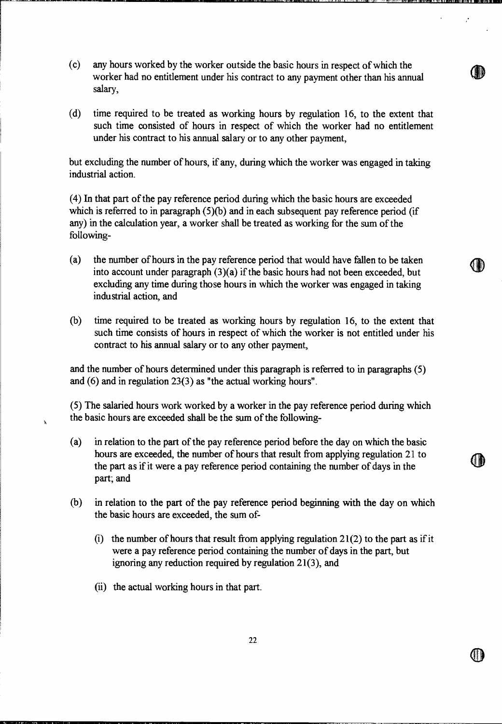- (c) any hours worked by the worker outside the basic hours in respect of which the worker had no entitlement under his contract to any payment other than his annual salary,
- (d) time required to be treated as working hours by regulation 16, to the extent that such time consisted of hours in respect of which the worker had no entitlement under his contract to his annual salary or to any other payment,

but excluding the number of hours, if any, during which the worker was engaged in taking industrial action.

(4) In that part of the pay reference period during which the basic hours are exceeded which is referred to in paragraph (5)(b) and in each subsequent pay reference period (if any) in the calculation year, a worker shall be treated as working for the sum of the following-

- (a) the number of hours in the pay reference period that would have fallen to be taken into account under paragraph (3)(a) if the basic hours had not been exceeded, but excluding any time during those hours in which the worker was engaged in taking industrial action, and
- (b) time required to be treated as working hours by regulation 16, to the extent that such time consists of hours in respect of which the worker is not entitled under his contract to his annual salary or to any other payment,

and the number of hours determined under this paragraph is referred to in paragraphs (5) and (6) and in regulation 23(3) as "the actual working hours".

(5) The salaried hours work worked by a worker in the pay reference period during which the basic hours are exceeded shall be the sum of the following-

(a) in relation to the part of the pay reference period before the day on which the basic hours are exceeded, the number of hours that result from applying regulation 21 to the part as if it were a pay reference period containing the number of days in the part; and

411 J

- (b) in relation to the part of the pay reference period beginning with the day on which the basic hours are exceeded, the sum of-
	- (i) the number of hours that result from applying regulation  $21(2)$  to the part as if it were a pay reference period containing the number of days in the part, but ignoring any reduction required by regulation 21(3), and
	- (ii) the actual working hours in that part.

 $\mathbf{k}$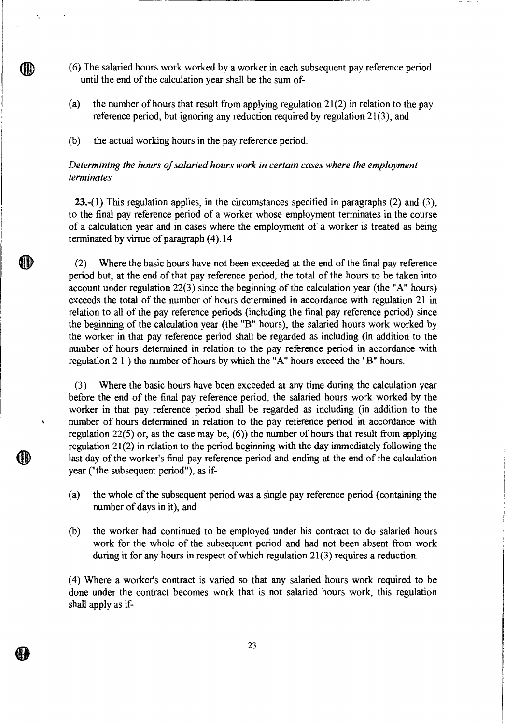- (6) The salaried hours work worked by a worker in each subsequent pay reference period until the end of the calculation year shall be the sum of-
- (a) the number of hours that result from applying regulation  $21(2)$  in relation to the pay reference period, but ignoring any reduction required by regulation 21(3); and
- (b) the actual working hours in the pay reference period.

**GID** 

Í,

# *Determining the hours of salaried hours work in certain cases where the employment terminates*

23.-(1) This regulation applies, in the circumstances specified in paragraphs  $(2)$  and  $(3)$ , to the final pay reference period of a worker whose employment terminates in the course of a calculation year and in cases where the employment of a worker is treated as being terminated by virtue of paragraph (4).14

(2) Where the basic hours have not been exceeded at the end of the final pay reference period but, at the end of that pay reference period, the total of the hours to be taken into account under regulation 22(3) since the beginning of the calculation year (the "A" hours) exceeds the total of the number of hours determined in accordance with regulation 21 in relation to all of the pay reference periods (including the final pay reference period) since the beginning of the calculation year (the **"B"** hours), the salaried hours work worked by the worker in that pay reference period shall be regarded as including (in addition to the number of hours determined in relation to the pay reference period in accordance with regulation 2 1 ) the number of hours by which the "A" hours exceed the "B" hours.

(3) Where the basic hours have been exceeded at any time during the calculation year before the end of the final pay reference period, the salaried hours work worked by the worker in that pay reference period shall be regarded as including (in addition to the number of hours determined in relation to the pay reference period in accordance with regulation 22(5) or, as the case may be, (6)) the number of hours that result from applying regulation 21(2) in relation to the period beginning with the day immediately following the last day of the worker's final pay reference period and ending at the end of the calculation year ("the subsequent period"), as if-

- (a) the whole of the subsequent period was a single pay reference period (containing the number of days in it), and
- (b) the worker had continued to be employed under his contract to do salaried hours work for the whole of the subsequent period and had not been absent from work during it for any hours in respect of which regulation 21(3) requires a reduction.

(4) Where a worker's contract is varied so that any salaried hours work required to be done under the contract becomes work that is not salaried hours work, this regulation shall apply as if-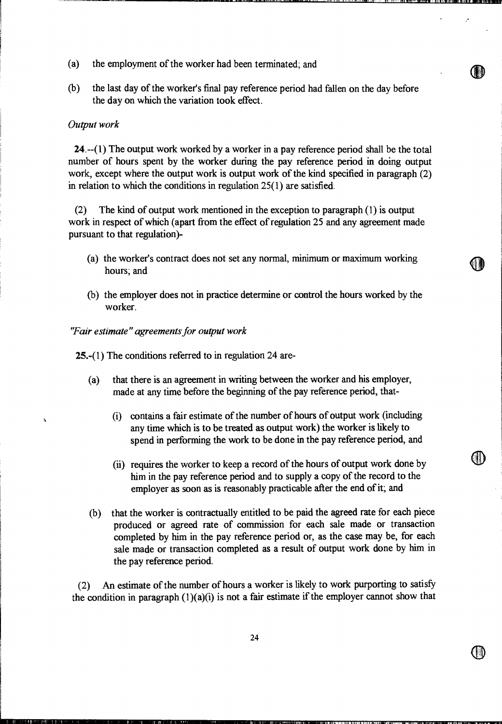- (a) the employment of the worker had been terminated; and
- (b) the last day of the worker's final pay reference period had fallen on the day before the day on which the variation took effect.

#### *Output work*

24.--(1) The output work worked by a worker in a pay reference period shall be the total number of hours spent by the worker during the pay reference period in doing output work, except where the output work is output work of the kind specified in paragraph (2) in relation to which the conditions in regulation 25(1) are satisfied.

(2) The kind of output work mentioned in the exception to paragraph (1) is output work in respect of which (apart from the effect of regulation 25 and any agreement made pursuant to that regulation)-

- (a) the worker's contract does not set any normal, minimum or maximum working hours; and
- (b) the employer does not in practice determine or control the hours worked by the worker.

*"Fair estimate" agreements for output work* 

25.-(1) The conditions referred to in regulation 24 are-

- (a) that there is an agreement in writing between the worker and his employer, made at any time before the beginning of the pay reference period, that-
	- (i) contains a fair estimate of the number of hours of output work (including any time which is to be treated as output work) the worker is likely to spend in performing the work to be done in the pay reference period, and
	- (ii) requires the worker to keep a record of the hours of output work done by him in the pay reference period and to supply a copy of the record to the employer as soon as is reasonably practicable after the end of it; and
- (b) that the worker is contractually entitled to be paid the agreed rate for each piece produced or agreed rate of commission for each sale made or transaction completed by him in the pay reference period or, as the case may be, for each sale made or transaction completed as a result of output work done by him in the pay reference period.

(2) An estimate of the number of hours a worker is likely to work purporting to satisfy the condition in paragraph  $(1)(a)(i)$  is not a fair estimate if the employer cannot show that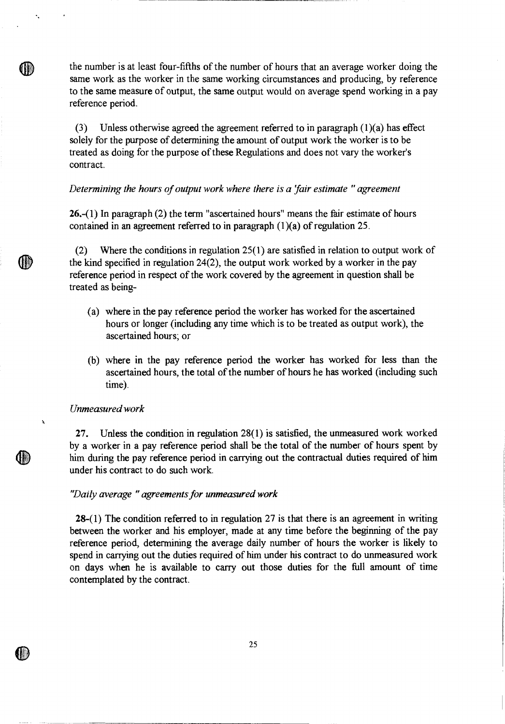the number is at least four-fifths of the number of hours that an average worker doing the same work as the worker in the same working circumstances and producing, by reference to the same measure of output, the same output would on average spend working in a pay reference period.

(3) Unless otherwise agreed the agreement referred to in paragraph  $(1)(a)$  has effect solely for the purpose of determining the amount of output work the worker is to be treated as doing for the purpose of these Regulations and does not vary the worker's contract.

#### *Determining the hours of output work where there is a fair estimate " agreement*

26.-(1) In paragraph (2) the term "ascertained hours" means the fair estimate of hours contained in an agreement referred to in paragraph (1)(a) of regulation 25.

(2) Where the conditions in regulation 25(1) are satisfied in relation to output work of the kind specified in regulation 24(2), the output work worked by a worker in the pay reference period in respect of the work covered by the agreement in question shall be treated as being-

- (a) where in the pay reference period the worker has worked for the ascertained hours or longer (including any time which is to be treated as output work), the ascertained hours; or
- (b) where in the pay reference period the worker has worked for less than the ascertained hours, the total of the number of hours he has worked (including such time).

#### *Unmeasured work*

×,

(II)

AID

 $\mathbf{k}$ 

27. Unless the condition in regulation 28(1) is satisfied, the unmeasured work worked by a worker in a pay reference period shall be the total of the number of hours spent by him during the pay reference period in carrying out the contractual duties required of him under his contract to do such work.

# *'Daily average " agreements for unmeasured work*

28-(1) The condition referred to in regulation 27 is that there is an agreement in writing between the worker and his employer, made at any time before the beginning of the pay reference period, determining the average daily number of hours the worker is likely to spend in carrying out the duties required of him under his contract to do unmeasured work on days when he is available to carry out those duties for the full amount of time contemplated by the contract.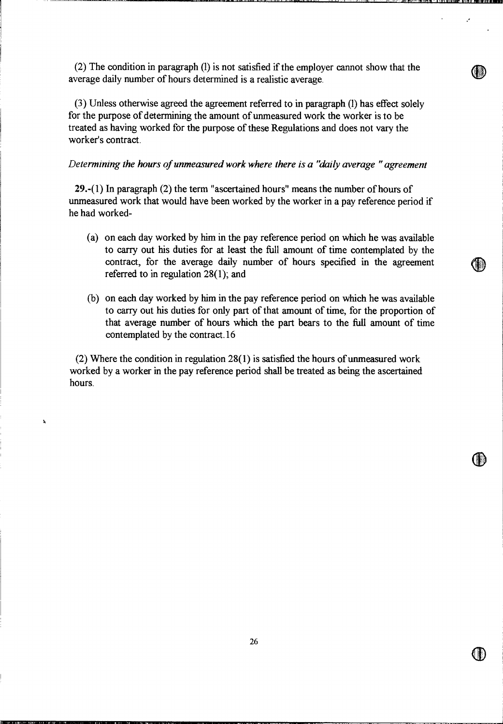(2) The condition in paragraph (1) is not satisfied if the employer cannot show that the average daily number of hours determined is a realistic average.

(3) Unless otherwise agreed the agreement referred to in paragraph (1) has effect solely for the purpose of determining the amount of unmeasured work the worker is to be treated as having worked for the purpose of these Regulations and does not vary the worker's contract.

#### *Determining the hours of unmeasured work where there is a "daily average " agreement*

29.-(1) In paragraph (2) the term "ascertained hours" means the number of hours of unmeasured work that would have been worked by the worker in a pay reference period if he had worked-

- (a) on each day worked by him in the pay reference period on which he was available to carry out his duties for at least the full amount of time contemplated by the contract, for the average daily number of hours specified in the agreement referred to in regulation 28(1); and
- (b) on each day worked by him in the pay reference period on which he was available to carry out his duties for only part of that amount of time, for the proportion of that average number of hours which the part bears to the full amount of time contemplated by the contract.16

(2) Where the condition in regulation 28(1) is satisfied the hours of unmeasured work worked by a worker in the pay reference period shall be treated as being the ascertained hours.

 $\mathbf{k}$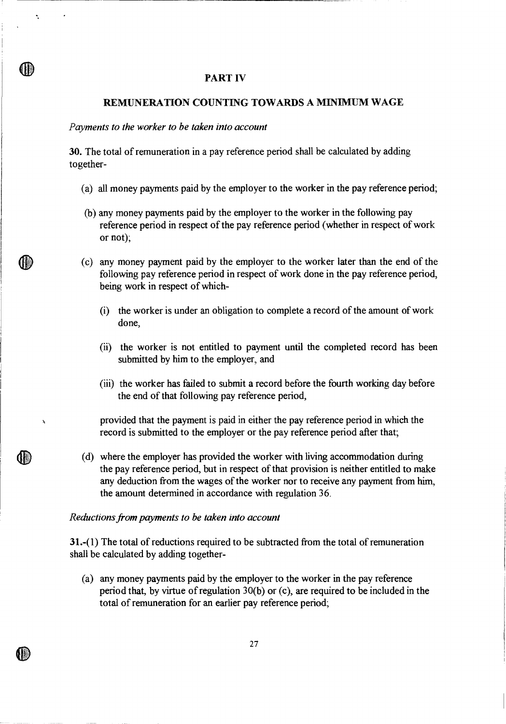# **PART IV**

# **REMUNERATION COUNTING TOWARDS A MINIMUM WAGE**

#### *Payments to the worker to be taken into account*

Ñ,

J,

**30.** The total of remuneration in a pay reference period shall be calculated by adding together-

- (a) all money payments paid by the employer to the worker in the pay reference period;
- (b) any money payments paid by the employer to the worker in the following pay reference period in respect of the pay reference period (whether in respect of work or not);
- (c) any money payment paid by the employer to the worker later than the end of the following pay reference period in respect of work done in the pay reference period, being work in respect of which-
	- (i) the worker is under an obligation to complete a record of the amount of work done,
	- (ii) the worker is not entitled to payment until the completed record has been submitted by him to the employer, and
	- (iii) the worker has failed to submit a record before the fourth working day before the end of that following pay reference period,

provided that the payment is paid in either the pay reference period in which the record is submitted to the employer or the pay reference period after that;

(d) where the employer has provided the worker with living accommodation during the pay reference period, but in respect of that provision is neither entitled to make any deduction from the wages of the worker nor to receive any payment from him, the amount determined in accordance with regulation 36.

# *Reductions from payments to be taken into account*

**31.-(1)** The total of reductions required to be subtracted from the total of remuneration shall be calculated by adding together-

(a) any money payments paid by the employer to the worker in the pay reference period that, by virtue of regulation 30(b) or (c), are required to be included in the total of remuneration for an earlier pay reference period;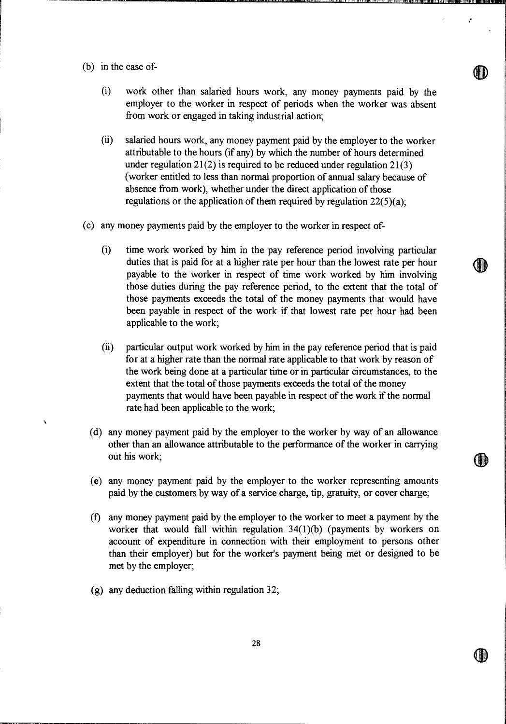(b) in the case of-

À

- (i) work other than salaried hours work, any money payments paid by the employer to the worker in respect of periods when the worker was absent from work or engaged in taking industrial action;
- (ii) salaried hours work, any money payment paid by the employer to the worker attributable to the hours (if any) by which the number of hours determined under regulation  $21(2)$  is required to be reduced under regulation  $21(3)$ (worker entitled to less than normal proportion of annual salary because of absence from work), whether under the direct application of those regulations or the application of them required by regulation  $22(5)(a)$ ;
- (c) any money payments paid by the employer to the worker in respect of-
	- (i) time work worked by him in the pay reference period involving particular duties that is paid for at a higher rate per hour than the lowest rate per hour payable to the worker in respect of time work worked by him involving those duties during the pay reference period, to the extent that the total of those payments exceeds the total of the money payments that would have been payable in respect of the work if that lowest rate per hour had been applicable to the work;

**4b** 

Ŀ,

 $\textcolor{red}{\textbf{0}}$ 

- $(ii)$ particular output work worked by him in the pay reference period that is paid for at a higher rate than the normal rate applicable to that work by reason of the work being done at a particular time or in particular circumstances, to the extent that the total of those payments exceeds the total of the money payments that would have been payable in respect of the work if the normal rate had been applicable to the work;
- (d) any money payment paid by the employer to the worker by way of an allowance other than an allowance attributable to the performance of the worker in carrying out his work;
- (e) any money payment paid by the employer to the worker representing amounts paid by the customers by way of a service charge, tip, gratuity, or cover charge;
- (f) any money payment paid by the employer to the worker to meet a payment by the worker that would fall within regulation 34(1)(b) (payments by workers on account of expenditure in connection with their employment to persons other than their employer) but for the worker's payment being met or designed to be met by the employer;
- (g) any deduction falling within regulation 32;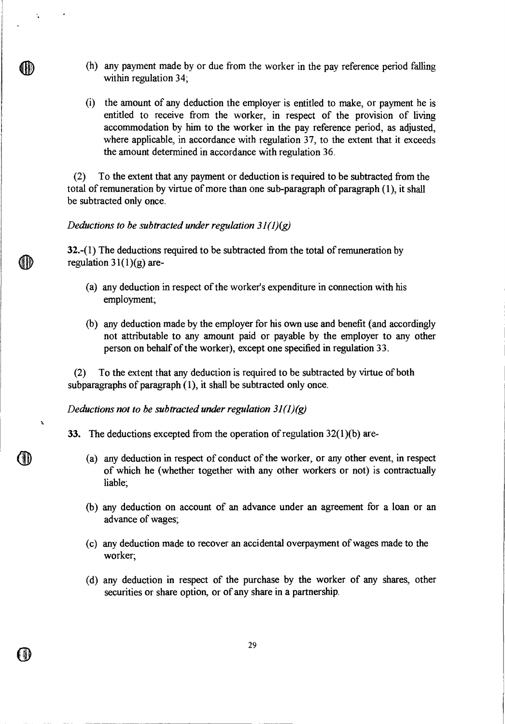- (h) any payment made by or due from the worker in the pay reference period falling within regulation 34;
- (i) the amount of any deduction the employer is entitled to make, or payment he is entitled to receive from the worker, in respect of the provision of living accommodation by him to the worker in the pay reference period, as adjusted, where applicable, in accordance with regulation 37, to the extent that it exceeds the amount determined in accordance with regulation 36.

(2) To the extent that any payment or deduction is required to be subtracted from the total of remuneration by virtue of more than one sub-paragraph of paragraph (1), it shall be subtracted only once.

# *Deductions to be subtracted under regulation 31(1)(g)*

 $\ddot{\phantom{a}}$ 

(II)

(II)

32.-(1) The deductions required to be subtracted from the total of remuneration by regulation  $31(1)(g)$  are-

- (a) any deduction in respect of the worker's expenditure in connection with his employment;
- (b) any deduction made by the employer for his own use and benefit (and accordingly not attributable to any amount paid or payable by the employer to any other person on behalf of the worker), except one specified in regulation 33.

(2) To the extent that any deduction is required to be subtracted by virtue of both subparagraphs of paragraph  $(1)$ , it shall be subtracted only once.

*Deductions not to be subtracted under regulation 31(1)(g)* 

33. The deductions excepted from the operation of regulation 32(1)(b) are-

- (a) any deduction in respect of conduct of the worker, or any other event, in respect of which he (whether together with any other workers or not) is contractually liable;
- (b) any deduction on account of an advance under an agreement for a loan or an advance of wages;
- (c) any deduction made to recover an accidental overpayment of wages made to the worker;
- (d) any deduction in respect of the purchase by the worker of any shares, other securities or share option, or of any share in a partnership.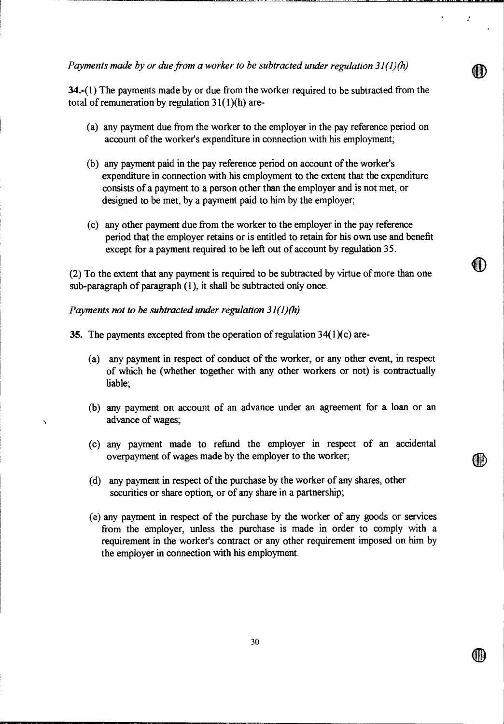*Payments made by or due from a worker to be subtracted under regulation 31(1)(h)* 

34.-(1) The payments made by or due from the worker required to be subtracted from the total of remuneration by regulation  $31(1)(h)$  are-

- (a) any payment due from the worker to the employer in the pay reference period on account of the worker's expenditure in connection with his employment;
- (b) any payment paid in the pay reference period on account of the worker's expenditure in connection with his employment to the extent that the expenditure consists of a payment to a person other than the employer and is not met, or designed to be met, by a payment paid to him by the employer;
- (c) any other payment due from the worker to the employer in the pay reference period that the employer retains or is entitled to retain for his own use and benefit except for a payment required to be left out of account by regulation 35.

(2) To the extent that any payment is required to be subtracted by virtue of more than one sub-paragraph of paragraph (1), it shall be subtracted only once.

# *Payments not to be subtracted under regulation 31(1)(h)*

ĥ,

35. The payments excepted from the operation of regulation  $34(1)(c)$  are-

- (a) any payment in respect of conduct of the worker, or any other event, in respect of which he (whether together with any other workers or not) is contractually liable;
- (b) any payment on account of an advance under an agreement for a loan or an advance of wages;
- (c) any payment made to refund the employer in respect of an accidental overpayment of wages made by the employer to the worker;
- (d) any payment in respect of the purchase by the worker of any shares, other securities or share option, or of any share in a partnership;
- (e) any payment in respect of the purchase by the worker of any goods or services from the employer, unless the purchase is made in order to comply with a requirement in the worker's contract or any other requirement imposed on him by the employer in connection with his employment.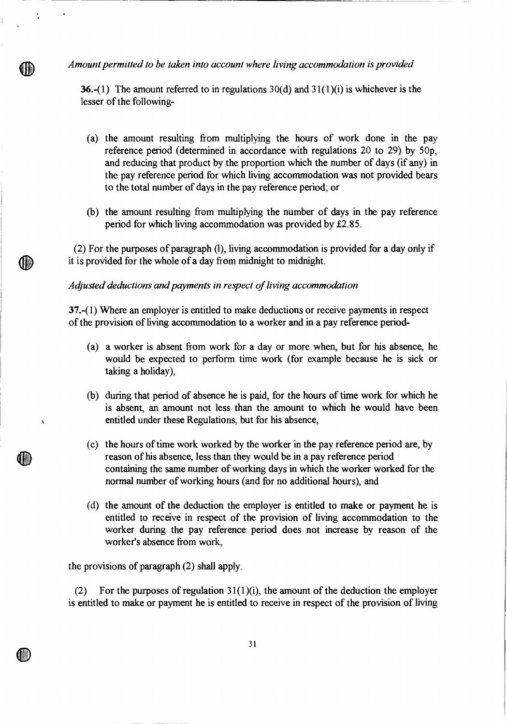*Amount permitted to be taken into account where living accommodation is provided* 

 $\ddot{\phantom{a}}$ 

III)

(III)

 $\mathbf{\hat{A}}$ 

**36.-(1)** The amount referred to in regulations  $30(d)$  and  $31(1)(i)$  is whichever is the lesser of the following-

- (a) the amount resulting from multiplying the hours of work done in the pay reference period (determined in accordance with regulations 20 to 29) by 50p, and reducing that product by the proportion which the number of days (if any) in the pay reference period for which living accommodation was not provided bears to the total number of days in the pay reference period; or
- (b) the amount resulting from multiplying the number of days in the pay reference period for which living accommodation was provided by £2.85.

(2) For the purposes of paragraph (I), living accommodation is provided for a day only if it is provided for the whole of a day from midnight to midnight.

*Adjusted deductions and payments in respect of living accommodation* 

37.-(1) Where an employer is entitled to make deductions or receive payments in respect of the provision of living accommodation to a worker and in a pay reference period-

- (a) a worker is absent from work for a day or more when, but for his absence, he would be expected to perform time work (for example because he is sick or taking a holiday),
- (b) during that period of absence he is paid, for the hours of time work for which he is absent, an amount not less than the amount to which he would have been entitled under these Regulations, but for his absence,
- (c) the hours of time work worked by the worker in the pay reference period are, by reason of his absence, less than they would be in a pay reference period containing the same number of working days in which the worker worked for the normal number of working hours (and for no additional hours), and
- (d) the amount of the deduction the employer is entitled to make or payment he is entitled to receive in respect of the provision of living accommodation to the worker during the pay reference period does not increase by reason of the worker's absence from work,

the provisions of paragraph (2) shall apply.

(2) For the purposes of regulation  $31(1)(i)$ , the amount of the deduction the employer is entitled to make or payment he is entitled to receive in respect of the provision of living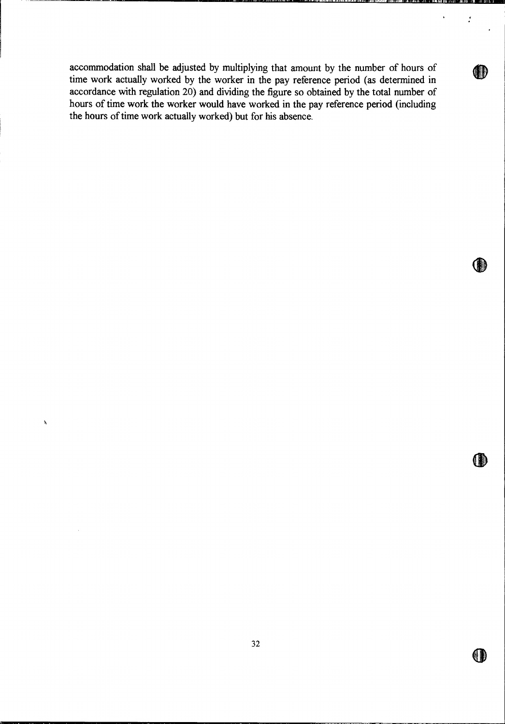accommodation shall be adjusted by multiplying that amount by the number of hours of time work actually worked by the worker in the pay reference period (as determined in accordance with regulation 20) and dividing the figure so obtained by the total number of hours of time work the worker would have worked in the pay reference period (including the hours of time work actually worked) but for his absence.

.

 $\mathbf{r}$ 

O

OD

 $\mathbf{A}$ 

 $\hat{\mathcal{A}}$